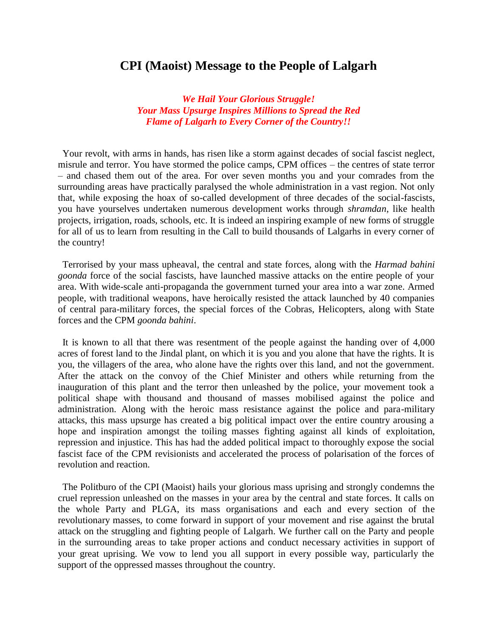## **CPI (Maoist) Message to the People of Lalgarh**

*We Hail Your Glorious Struggle! Your Mass Upsurge Inspires Millions to Spread the Red Flame of Lalgarh to Every Corner of the Country!!*

Your revolt, with arms in hands, has risen like a storm against decades of social fascist neglect, misrule and terror. You have stormed the police camps, CPM offices – the centres of state terror – and chased them out of the area. For over seven months you and your comrades from the surrounding areas have practically paralysed the whole administration in a vast region. Not only that, while exposing the hoax of so-called development of three decades of the social-fascists, you have yourselves undertaken numerous development works through *shramdan*, like health projects, irrigation, roads, schools, etc. It is indeed an inspiring example of new forms of struggle for all of us to learn from resulting in the Call to build thousands of Lalgarhs in every corner of the country!

Terrorised by your mass upheaval, the central and state forces, along with the *Harmad bahini goonda* force of the social fascists, have launched massive attacks on the entire people of your area. With wide-scale anti-propaganda the government turned your area into a war zone. Armed people, with traditional weapons, have heroically resisted the attack launched by 40 companies of central para-military forces, the special forces of the Cobras, Helicopters, along with State forces and the CPM *goonda bahini*.

It is known to all that there was resentment of the people against the handing over of 4,000 acres of forest land to the Jindal plant, on which it is you and you alone that have the rights. It is you, the villagers of the area, who alone have the rights over this land, and not the government. After the attack on the convoy of the Chief Minister and others while returning from the inauguration of this plant and the terror then unleashed by the police, your movement took a political shape with thousand and thousand of masses mobilised against the police and administration. Along with the heroic mass resistance against the police and para-military attacks, this mass upsurge has created a big political impact over the entire country arousing a hope and inspiration amongst the toiling masses fighting against all kinds of exploitation, repression and injustice. This has had the added political impact to thoroughly expose the social fascist face of the CPM revisionists and accelerated the process of polarisation of the forces of revolution and reaction.

The Politburo of the CPI (Maoist) hails your glorious mass uprising and strongly condemns the cruel repression unleashed on the masses in your area by the central and state forces. It calls on the whole Party and PLGA, its mass organisations and each and every section of the revolutionary masses, to come forward in support of your movement and rise against the brutal attack on the struggling and fighting people of Lalgarh. We further call on the Party and people in the surrounding areas to take proper actions and conduct necessary activities in support of your great uprising. We vow to lend you all support in every possible way, particularly the support of the oppressed masses throughout the country.